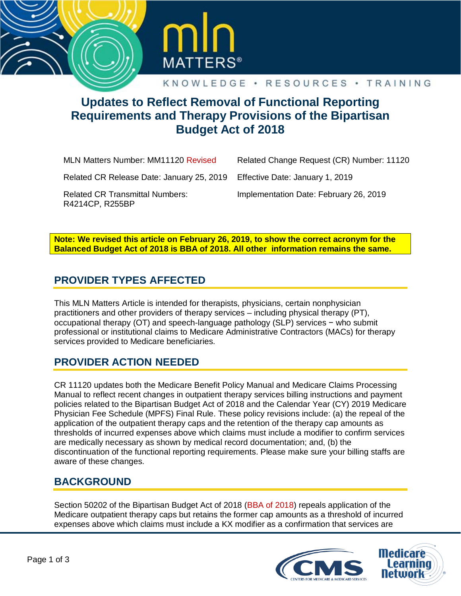



# **Updates to Reflect Removal of Functional Reporting Requirements and Therapy Provisions of the Bipartisan Budget Act of 2018**

MLN Matters Number: MM11120 Revised

Related Change Request (CR) Number: 11120

Related CR Release Date: January 25, 2019

Implementation Date: February 26, 2019

Effective Date: January 1, 2019

Related CR Transmittal Numbers: R4214CP, R255BP

**Note: We revised this article on February 26, 2019, to show the correct acronym for the Balanced Budget Act of 2018 is BBA of 2018. All other information remains the same.**

## **PROVIDER TYPES AFFECTED**

This MLN Matters Article is intended for therapists, physicians, certain nonphysician practitioners and other providers of therapy services – including physical therapy (PT), occupational therapy (OT) and speech-language pathology (SLP) services − who submit professional or institutional claims to Medicare Administrative Contractors (MACs) for therapy services provided to Medicare beneficiaries.

### **PROVIDER ACTION NEEDED**

CR 11120 updates both the Medicare Benefit Policy Manual and Medicare Claims Processing Manual to reflect recent changes in outpatient therapy services billing instructions and payment policies related to the Bipartisan Budget Act of 2018 and the Calendar Year (CY) 2019 Medicare Physician Fee Schedule (MPFS) Final Rule. These policy revisions include: (a) the repeal of the application of the outpatient therapy caps and the retention of the therapy cap amounts as thresholds of incurred expenses above which claims must include a modifier to confirm services are medically necessary as shown by medical record documentation; and, (b) the discontinuation of the functional reporting requirements. Please make sure your billing staffs are aware of these changes.

### **BACKGROUND**

Section 50202 of the Bipartisan Budget Act of 2018 (BBA of 2018) repeals application of the Medicare outpatient therapy caps but retains the former cap amounts as a threshold of incurred expenses above which claims must include a KX modifier as a confirmation that services are

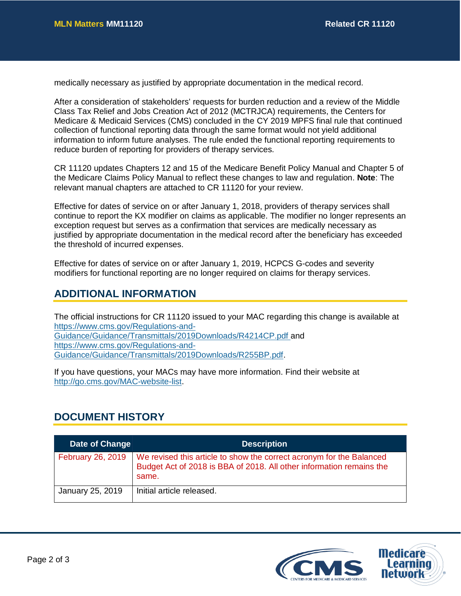medically necessary as justified by appropriate documentation in the medical record.

After a consideration of stakeholders' requests for burden reduction and a review of the Middle Class Tax Relief and Jobs Creation Act of 2012 (MCTRJCA) requirements, the Centers for Medicare & Medicaid Services (CMS) concluded in the CY 2019 MPFS final rule that continued collection of functional reporting data through the same format would not yield additional information to inform future analyses. The rule ended the functional reporting requirements to reduce burden of reporting for providers of therapy services.

CR 11120 updates Chapters 12 and 15 of the Medicare Benefit Policy Manual and Chapter 5 of the Medicare Claims Policy Manual to reflect these changes to law and regulation. **Note**: The relevant manual chapters are attached to CR 11120 for your review.

Effective for dates of service on or after January 1, 2018, providers of therapy services shall continue to report the KX modifier on claims as applicable. The modifier no longer represents an exception request but serves as a confirmation that services are medically necessary as justified by appropriate documentation in the medical record after the beneficiary has exceeded the threshold of incurred expenses.

Effective for dates of service on or after January 1, 2019, HCPCS G-codes and severity modifiers for functional reporting are no longer required on claims for therapy services.

#### **ADDITIONAL INFORMATION**

The official instructions for CR 11120 issued to your MAC regarding this change is available at [https://www.cms.gov/Regulations-and-](https://www.cms.gov/Regulations-and-Guidance/Guidance/Transmittals/2019Downloads/R4214CP.pdf)[Guidance/Guidance/Transmittals/2019Downloads/R4214CP.pdf](https://www.cms.gov/Regulations-and-Guidance/Guidance/Transmittals/2019Downloads/R4214CP.pdf) and [https://www.cms.gov/Regulations-and-](https://www.cms.gov/Regulations-and-Guidance/Guidance/Transmittals/2019Downloads/R255BP.pdf)[Guidance/Guidance/Transmittals/2019Downloads/R255BP.pdf.](https://www.cms.gov/Regulations-and-Guidance/Guidance/Transmittals/2019Downloads/R255BP.pdf)

If you have questions, your MACs may have more information. Find their website at [http://go.cms.gov/MAC-website-list.](http://go.cms.gov/MAC-website-list)

#### **DOCUMENT HISTORY**

| Date of Change   | <b>Description</b>                                                                                                                                                        |
|------------------|---------------------------------------------------------------------------------------------------------------------------------------------------------------------------|
|                  | February 26, 2019   We revised this article to show the correct acronym for the Balanced<br>Budget Act of 2018 is BBA of 2018. All other information remains the<br>same. |
| January 25, 2019 | Initial article released.                                                                                                                                                 |